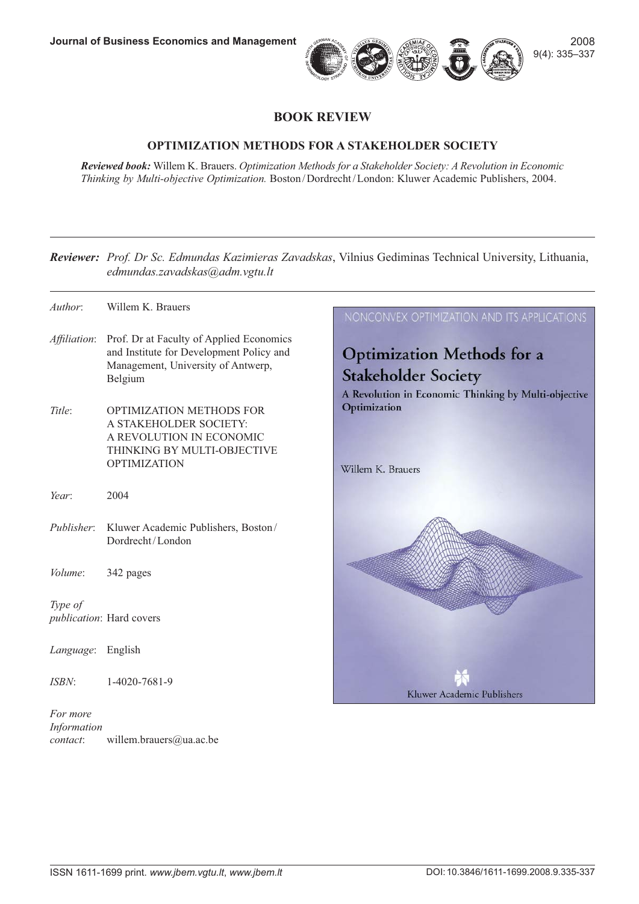*edmundas.zavadskas@adm.vgtu.lt*



### **BOOK REVIEW**

#### **OPTIMIZATION METHODS FOR A STAKEHOLDER SOCIETY**

*Reviewed book:* Willem K. Brauers. *Optimization Methods for a Stakeholder Society: A Revolution in Economic Thinking by Multi-objective Optimization.* Boston / Dordrecht / London: Kluwer Academic Publishers, 2004.

*Reviewer: Prof. Dr Sc. Edmundas Kazimieras Zavadskas*, Vilnius Gediminas Technical University, Lithuania,

| Author:              | Willem K. Brauers                                                                                                                           | NONCONVEX OPTIMIZATION AND ITS APPLICATIONS                                               |
|----------------------|---------------------------------------------------------------------------------------------------------------------------------------------|-------------------------------------------------------------------------------------------|
| <i>Affiliation</i> : | Prof. Dr at Faculty of Applied Economics<br>and Institute for Development Policy and<br>Management, University of Antwerp,<br>Belgium       | <b>Optimization Methods for a</b><br><b>Stakeholder Society</b>                           |
| Title:               | <b>OPTIMIZATION METHODS FOR</b><br>A STAKEHOLDER SOCIETY:<br>A REVOLUTION IN ECONOMIC<br>THINKING BY MULTI-OBJECTIVE<br><b>OPTIMIZATION</b> | A Revolution in Economic Thinking by Multi-objective<br>Optimization<br>Willem K. Brauers |
| Year:                | 2004                                                                                                                                        |                                                                                           |
| Publisher:           | Kluwer Academic Publishers, Boston/<br>Dordrecht/London                                                                                     |                                                                                           |
| Volume:              | 342 pages                                                                                                                                   |                                                                                           |
| Type of              | publication: Hard covers                                                                                                                    |                                                                                           |
| Language:            | English                                                                                                                                     |                                                                                           |
| ISBN:                | 1-4020-7681-9                                                                                                                               | Kluwer Academic Publishers                                                                |

*For more Information contact*: willem.brauers@ua.ac.be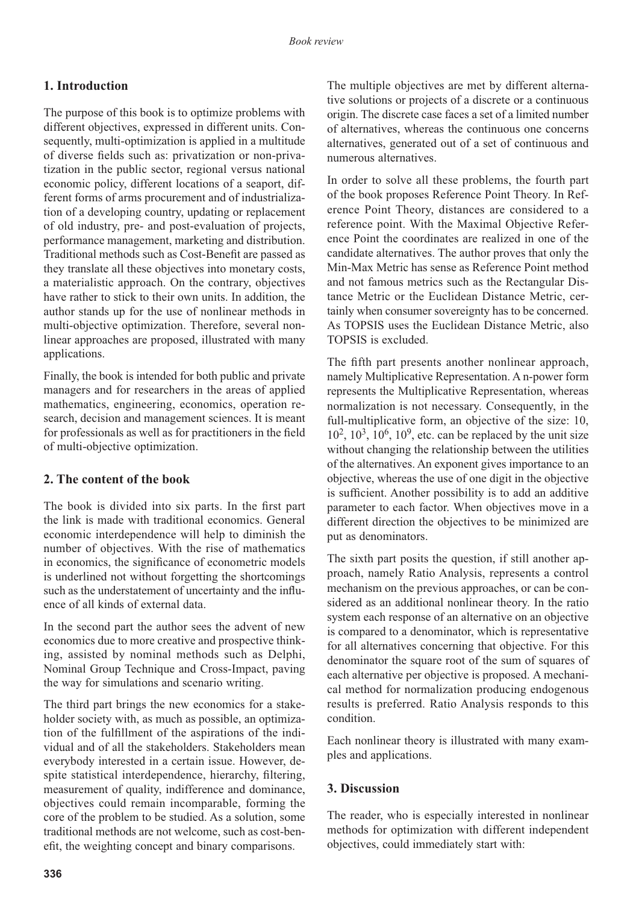# **1. Introduction**

The purpose of this book is to optimize problems with different objectives, expressed in different units. Consequently, multi-optimization is applied in a multitude of diverse fields such as: privatization or non-privatization in the public sector, regional versus national economic policy, different locations of a seaport, different forms of arms procurement and of industrialization of a developing country, updating or replacement of old industry, pre- and post-evaluation of projects, performance management, marketing and distribution. Traditional methods such as Cost-Benefit are passed as they translate all these objectives into monetary costs, a materialistic approach. On the contrary, objectives have rather to stick to their own units. In addition, the author stands up for the use of nonlinear methods in multi-objective optimization. Therefore, several nonlinear approaches are proposed, illustrated with many applications.

Finally, the book is intended for both public and private managers and for researchers in the areas of applied mathematics, engineering, economics, operation research, decision and management sciences. It is meant for professionals as well as for practitioners in the field of multi-objective optimization.

# **2. The content of the book**

The book is divided into six parts. In the first part the link is made with traditional economics. General economic interdependence will help to diminish the number of objectives. With the rise of mathematics in economics, the significance of econometric models is underlined not without forgetting the shortcomings such as the understatement of uncertainty and the influence of all kinds of external data.

In the second part the author sees the advent of new economics due to more creative and prospective thinking, assisted by nominal methods such as Delphi, Nominal Group Technique and Cross-Impact, paving the way for simulations and scenario writing.

The third part brings the new economics for a stakeholder society with, as much as possible, an optimization of the fulfillment of the aspirations of the individual and of all the stakeholders. Stakeholders mean everybody interested in a certain issue. However, despite statistical interdependence, hierarchy, filtering, measurement of quality, indifference and dominance, objectives could remain incomparable, forming the core of the problem to be studied. As a solution, some traditional methods are not welcome, such as cost-benefit, the weighting concept and binary comparisons.

The multiple objectives are met by different alternative solutions or projects of a discrete or a continuous origin. The discrete case faces a set of a limited number of alternatives, whereas the continuous one concerns alternatives, generated out of a set of continuous and numerous alternatives.

In order to solve all these problems, the fourth part of the book proposes Reference Point Theory. In Reference Point Theory, distances are considered to a reference point. With the Maximal Objective Reference Point the coordinates are realized in one of the candidate alternatives. The author proves that only the Min-Max Metric has sense as Reference Point method and not famous metrics such as the Rectangular Distance Metric or the Euclidean Distance Metric, certainly when consumer sovereignty has to be concerned. As TOPSIS uses the Euclidean Distance Metric, also TOPSIS is excluded.

The fifth part presents another nonlinear approach, namely Multiplicative Representation. A n-power form represents the Multiplicative Representation, whereas normalization is not necessary. Consequently, in the full-multiplicative form, an objective of the size: 10,  $10^2$ ,  $10^3$ ,  $10^6$ ,  $10^9$ , etc. can be replaced by the unit size without changing the relationship between the utilities of the alternatives. An exponent gives importance to an objective, whereas the use of one digit in the objective is sufficient. Another possibility is to add an additive parameter to each factor. When objectives move in a different direction the objectives to be minimized are put as denominators.

The sixth part posits the question, if still another approach, namely Ratio Analysis, represents a control mechanism on the previous approaches, or can be considered as an additional nonlinear theory. In the ratio system each response of an alternative on an objective is compared to a denominator, which is representative for all alternatives concerning that objective. For this denominator the square root of the sum of squares of each alternative per objective is proposed. A mechanical method for normalization producing endogenous results is preferred. Ratio Analysis responds to this condition.

Each nonlinear theory is illustrated with many examples and applications.

# **3. Discussion**

The reader, who is especially interested in nonlinear methods for optimization with different independent objectives, could immediately start with: